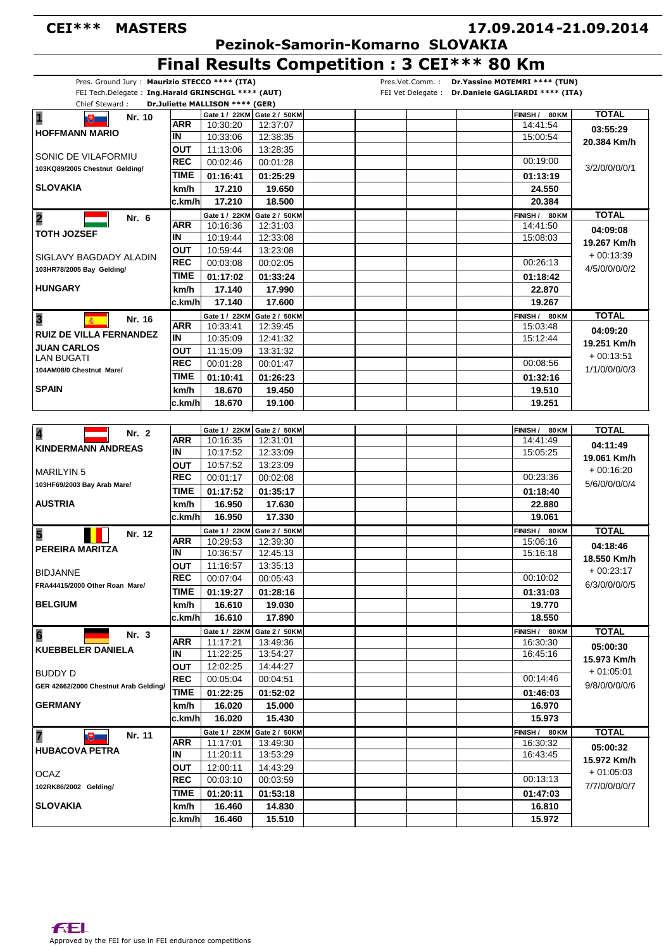## **CEI\*\*\* MASTERS**

## **17.09.2014 21.09.2014 -**

 **Pezinok-Samorin-Komarno SLOVAKIA**

**Final Results Competition : 3 CEI\*\*\* 80 Km**

|                                                         | FEI Tech.Delegate: Ing.Harald GRINSCHGL **** (AUT) |             | Pres. Ground Jury: Maurizio STECCO **** (ITA) |                             | Pres.Vet.Comm.: Dr.Yassine MOTEMRI **** (TUN)<br>FEI Vet Delegate : Dr.Daniele GAGLIARDI **** (ITA) |                              |
|---------------------------------------------------------|----------------------------------------------------|-------------|-----------------------------------------------|-----------------------------|-----------------------------------------------------------------------------------------------------|------------------------------|
| Chief Steward:                                          |                                                    |             | Dr.Juliette MALLISON **** (GER)               |                             |                                                                                                     |                              |
| $\overline{\mathbf{1}}$                                 |                                                    |             | Gate 1 / 22KM                                 | Gate 2 / 50KM               | <b>FINISH</b> /<br>80 KM                                                                            | <b>TOTAL</b>                 |
| $\mathbb{R}$ . If                                       | Nr. 10                                             | <b>ARR</b>  | 10:30:20                                      | 12:37:07                    | 14:41:54                                                                                            |                              |
| <b>HOFFMANN MARIO</b>                                   |                                                    | IN          | 10:33:06                                      | 12:38:35                    | 15:00:54                                                                                            | 03:55:29<br>20.384 Km/h      |
|                                                         |                                                    | <b>OUT</b>  | 11:13:06                                      | 13:28:35                    |                                                                                                     |                              |
| SONIC DE VILAFORMIU                                     | REC                                                | 00:02:46    | 00:01:28                                      | 00:19:00                    | 3/2/0/0/0/0/1                                                                                       |                              |
| 103KQ89/2005 Chestnut Gelding/                          | TIME                                               |             |                                               |                             |                                                                                                     |                              |
|                                                         |                                                    |             | 01:16:41                                      | 01:25:29                    | 01:13:19                                                                                            |                              |
| <b>SLOVAKIA</b>                                         | km/h                                               | 17.210      | 19.650                                        | 24.550                      |                                                                                                     |                              |
|                                                         |                                                    | lc.km/hl    | 17.210                                        | 18.500                      | 20.384                                                                                              |                              |
|                                                         | Nr. 6                                              |             | Gate 1 / 22KM                                 | Gate 2 / 50KM               | FINISH / 80 KM                                                                                      | <b>TOTAL</b>                 |
| <b>TOTH JOZSEF</b>                                      |                                                    | ARR         | 10:16:36                                      | 12:31:03                    | 14:41:50                                                                                            | 04:09:08                     |
|                                                         |                                                    | IN          | 10:19:44                                      | 12:33:08                    | 15:08:03                                                                                            | 19.267 Km/h                  |
| SIGLAVY BAGDADY ALADIN<br>103HR78/2005 Bay Gelding/     |                                                    | <b>OUT</b>  | 10:59:44                                      | 13:23:08                    |                                                                                                     | $+00:13:39$<br>4/5/0/0/0/0/2 |
|                                                         |                                                    | <b>REC</b>  | 00:03:08                                      | 00:02:05                    | 00:26:13                                                                                            |                              |
|                                                         |                                                    | TIME        | 01:17:02                                      | 01:33:24                    | 01:18:42                                                                                            |                              |
| <b>HUNGARY</b>                                          |                                                    | km/h        | 17.140                                        | 17.990                      | 22,870                                                                                              |                              |
|                                                         |                                                    | ∣c.km/h     | 17.140                                        | 17.600                      | 19.267                                                                                              |                              |
|                                                         |                                                    |             |                                               |                             |                                                                                                     |                              |
| 3                                                       | Nr. 16                                             | <b>ARR</b>  | Gate 1 / 22KM                                 | Gate 2 / 50KM               | FINISH / 80 KM                                                                                      | <b>TOTAL</b>                 |
| <b>RUIZ DE VILLA FERNANDEZ</b>                          |                                                    | İΝ          | 10:33:41                                      | 12:39:45                    | 15:03:48                                                                                            | 04:09:20                     |
| <b>JUAN CARLOS</b>                                      |                                                    |             | 10:35:09                                      | 12:41:32                    | 15:12:44                                                                                            | 19.251 Km/h                  |
| <b>LAN BUGATI</b>                                       |                                                    | ΟUΤ         | 11:15:09                                      | 13:31:32                    |                                                                                                     | $+00:13:51$<br>1/1/0/0/0/0/3 |
| 104AM08/0 Chestnut Mare/                                |                                                    | <b>REC</b>  | 00:01:28                                      | 00:01:47                    | 00:08:56                                                                                            |                              |
|                                                         |                                                    | <b>TIME</b> | 01:10:41                                      | 01:26:23                    | 01:32:16                                                                                            |                              |
| <b>SPAIN</b>                                            |                                                    | km/h        | 18.670                                        | 19.450                      | 19.510                                                                                              |                              |
|                                                         |                                                    | ∣c.km/h     | 18.670                                        | 19.100                      | 19.251                                                                                              |                              |
|                                                         |                                                    |             |                                               |                             |                                                                                                     |                              |
|                                                         |                                                    |             |                                               | Gate 1 / 22KM Gate 2 / 50KM | FINISH / 80 KM                                                                                      | <b>TOTAL</b>                 |
|                                                         | Nr. 2                                              | <b>ARR</b>  | 10:16:35                                      | 12:31:01                    | 14:41:49                                                                                            |                              |
| <b>KINDERMANN ANDREAS</b>                               |                                                    | IN          | 10:17:52                                      | 12:33:09                    | 15:05:25                                                                                            | 04:11:49                     |
|                                                         |                                                    | <b>OUT</b>  | 10:57:52                                      | 13:23:09                    |                                                                                                     | 19.061 Km/h                  |
| <b>MARILYIN 5</b>                                       |                                                    | <b>REC</b>  | 00:01:17                                      | 00:02:08                    | 00:23:36                                                                                            | $+00:16:20$                  |
| 103HF69/2003 Bay Arab Mare/                             |                                                    | TIME        |                                               |                             |                                                                                                     | 5/6/0/0/0/0/4                |
|                                                         |                                                    |             | 01:17:52                                      | 01:35:17                    | 01:18:40                                                                                            |                              |
| <b>AUSTRIA</b>                                          |                                                    | km/h        | 16.950                                        | 17.630                      | 22,880                                                                                              |                              |
|                                                         |                                                    | c.km/h      | 16.950                                        | 17.330                      | 19.061                                                                                              |                              |
| 5                                                       | Nr. 12                                             |             | Gate 1 / 22KM                                 | Gate 2 / 50KM               | FINISH / 80 KM                                                                                      | <b>TOTAL</b>                 |
| <b>PEREIRA MARITZA</b>                                  |                                                    | <b>ARR</b>  | 10:29:53                                      | 12:39:30                    | 15:06:16                                                                                            | 04:18:46                     |
|                                                         |                                                    | IN          | 10:36:57                                      | 12:45:13                    | 15:16:18                                                                                            | 18.550 Km/h                  |
| <b>BIDJANNE</b>                                         |                                                    | ουτ         | 11:16:57                                      | 13:35:13                    |                                                                                                     | $+00:23:17$                  |
|                                                         |                                                    | REC         | 00:07:04                                      | 00:05:43                    | 00:10:02                                                                                            | 6/3/0/0/0/0/5                |
| FRA44415/2000 Other Roan Mare/                          |                                                    | TIME        | 01:19:27                                      | 01:28:16                    | 01:31:03                                                                                            |                              |
| <b>BELGIUM</b>                                          | km/h                                               | 16.610      | 19.030                                        | 19.770                      |                                                                                                     |                              |
|                                                         |                                                    | c.km/h      | 16.610                                        | 17.890                      | 18.550                                                                                              |                              |
|                                                         |                                                    |             | Gate 1 / 22KM                                 | Gate 2 / 50KM               | FINISH / 80 KM                                                                                      | <b>TOTAL</b>                 |
| $6\phantom{a}$                                          | Nr. 3                                              | <b>ARR</b>  | 11:17:21                                      | 13:49:36                    | 16:30:30                                                                                            |                              |
| <b>KUEBBELER DANIELA</b>                                |                                                    | IN          | 11:22:25                                      | 13:54:27                    | 16:45:16                                                                                            | 05:00:30                     |
|                                                         |                                                    | <b>OUT</b>  | 12:02:25                                      | 14:44:27                    |                                                                                                     | 15.973 Km/h                  |
| <b>BUDDY D</b>                                          |                                                    | <b>REC</b>  |                                               |                             | 00:14:46                                                                                            | $+01:05:01$                  |
| GER 42662/2000 Chestnut Arab Gelding/<br><b>GERMANY</b> |                                                    |             | 00:05:04                                      | 00:04:51                    |                                                                                                     | 9/8/0/0/0/0/6                |
|                                                         |                                                    | <b>TIME</b> | 01:22:25                                      | 01:52:02                    | 01:46:03                                                                                            |                              |
|                                                         |                                                    | km/h        | 16.020                                        | 15.000                      | 16.970                                                                                              |                              |
|                                                         |                                                    | ∣c.km/h     | 16.020                                        | 15.430                      | 15.973                                                                                              |                              |
| 7<br>Nr. 11<br>$\mathbb{R}$                             |                                                    |             | Gate 1 / 22KM                                 | Gate 2 / 50KM               | FINISH / 80 KM                                                                                      | <b>TOTAL</b>                 |
|                                                         |                                                    | <b>ARR</b>  | 11:17:01                                      | 13:49:30                    | 16:30:32                                                                                            | 05:00:32                     |
| <b>HUBACOVA PETRA</b>                                   |                                                    | IN          | 11:20:11                                      | 13:53:29                    | 16:43:45                                                                                            |                              |
|                                                         |                                                    | <b>OUT</b>  | 12:00:11                                      | 14:43:29                    |                                                                                                     | 15.972 Km/h<br>$+01:05:03$   |
| <b>OCAZ</b>                                             |                                                    | <b>REC</b>  | 00:03:10                                      | 00:03:59                    | 00:13:13                                                                                            |                              |
| 102RK86/2002 Gelding/<br><b>SLOVAKIA</b>                |                                                    | <b>TIME</b> | 01:20:11                                      | 01:53:18                    | 01:47:03                                                                                            | 7/7/0/0/0/0/7                |
|                                                         |                                                    |             |                                               |                             |                                                                                                     |                              |
|                                                         |                                                    | km/h        | 16.460                                        | 14.830                      | 16.810                                                                                              |                              |
|                                                         | ∣c.km/h                                            | 16.460      | 15.510                                        | 15.972                      |                                                                                                     |                              |